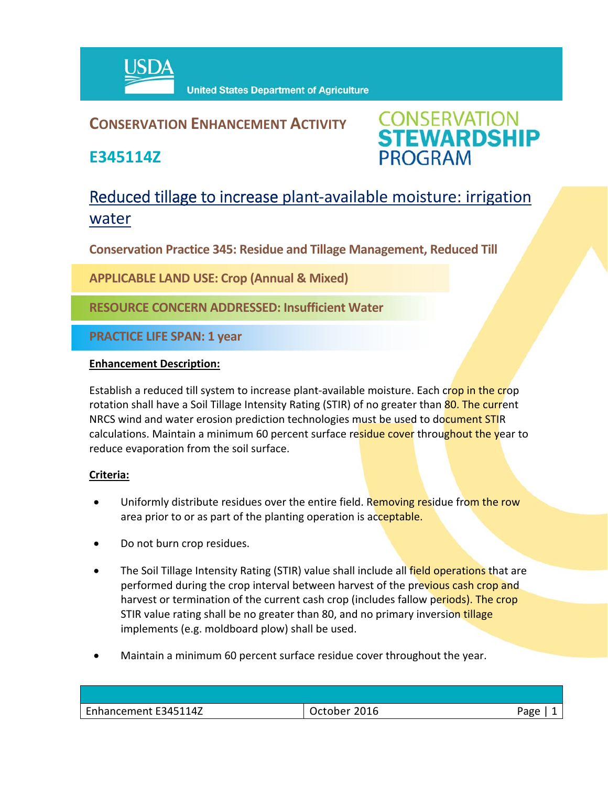

## **CONSERVATION ENHANCEMENT ACTIVITY**

**E345114Z**



# Reduced tillage to increase plant-available moisture: irrigation water

**Conservation Practice 345: Residue and Tillage Management, Reduced Till** 

**APPLICABLE LAND USE: Crop (Annual & Mixed)**

**RESOURCE CONCERN ADDRESSED: Insufficient Water**

**PRACTICE LIFE SPAN: 1 year**

#### **Enhancement Description:**

Establish a reduced till system to increase plant-available moisture. Each crop in the crop rotation shall have a Soil Tillage Intensity Rating (STIR) of no greater than 80. The current NRCS wind and water erosion prediction technologies must be used to document STIR calculations. Maintain a minimum 60 percent surface residue cover throughout the year to reduce evaporation from the soil surface.

### **Criteria:**

- Uniformly distribute residues over the entire field. Removing residue from the row area prior to or as part of the planting operation is acceptable.
- Do not burn crop residues.
- The Soil Tillage Intensity Rating (STIR) value shall include all field operations that are performed during the crop interval between harvest of the previous cash crop and harvest or termination of the current cash crop (includes fallow periods). The crop STIR value rating shall be no greater than 80, and no primary inversion tillage implements (e.g. moldboard plow) shall be used.
- Maintain a minimum 60 percent surface residue cover throughout the year.

| Enhancement E345114Z | 2016<br>October | Page |
|----------------------|-----------------|------|